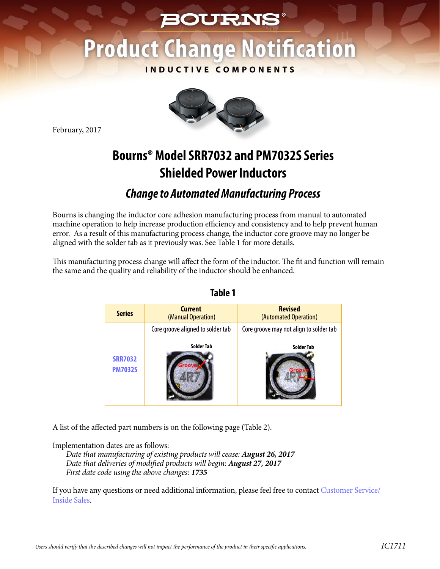# **BOURNS®**

# **Product Change Notification**

**INDUCTIVE COMPONENTS**



February, 2017

## **Bourns® Model SRR7032 and PM7032S Series Shielded Power Inductors**

## *Change to Automated Manufacturing Process*

Bourns is changing the inductor core adhesion manufacturing process from manual to automated machine operation to help increase production efficiency and consistency and to help prevent human error. As a result of this manufacturing process change, the inductor core groove may no longer be aligned with the solder tab as it previously was. See Table 1 for more details.

This manufacturing process change will affect the form of the inductor. The fit and function will remain the same and the quality and reliability of the inductor should be enhanced.

| <b>Series</b>                    | <b>Current</b><br>(Manual Operation) | <b>Revised</b><br>(Automated Operation) |
|----------------------------------|--------------------------------------|-----------------------------------------|
|                                  | Core groove aligned to solder tab    | Core groove may not align to solder tab |
| <b>SRR7032</b><br><b>PM7032S</b> | <b>Solder Tab</b>                    | Solder Tab                              |

#### **Table 1**

A list of the affected part numbers is on the following page (Table 2).

Implementation dates are as follows:

*Date that manufacturing of existing products will cease: August 26, 2017 Date that deliveries of modified products will begin: August 27, 2017 First date code using the above changes: 1735*

[If you have any questions or need additional information, please feel free to contact Customer Service/](http://www.bourns.com/support/contact) Inside Sales.